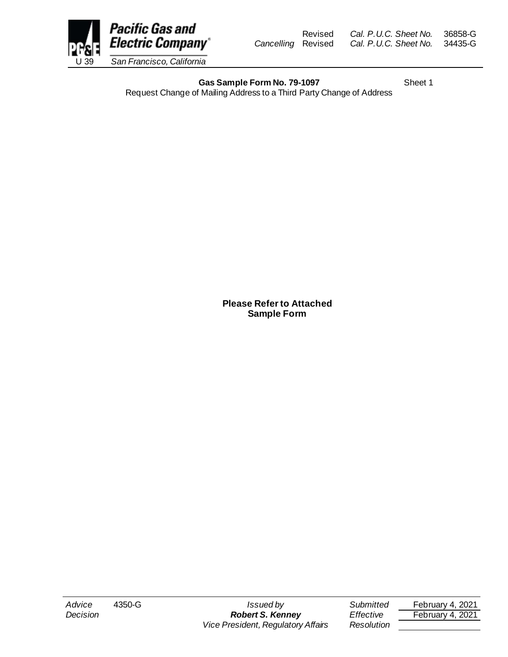

Revised *Cal. P.U.C. Sheet No.* 36858-G *Cancelling* Revised *Cal. P.U.C. Sheet No.* 34435-G

Gas Sample Form No. 79-1097 Sheet 1

Request Change of Mailing Address to a Third Party Change of Address

**Please Refer to Attached Sample Form**

*Advice* 4350-G *Issued by Submitted* February 4, 2021 *Decision Robert S. Kenney Effective* February 4, 2021 *Vice President, Regulatory Affairs Resolution*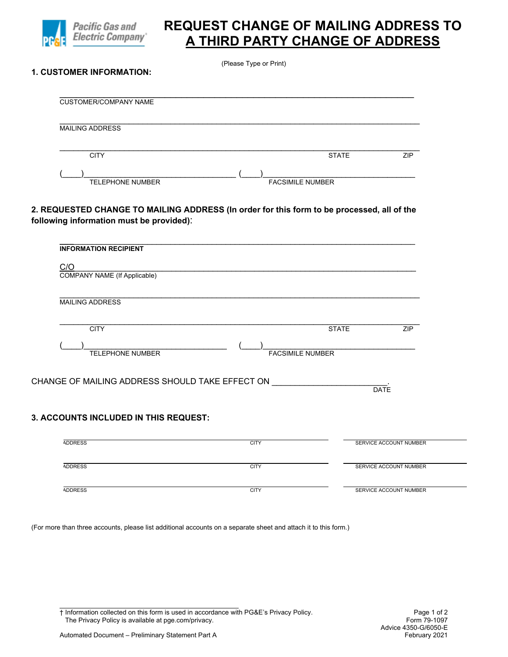

## **REQUEST CHANGE OF MAILING ADDRESS TO A THIRD PARTY CHANGE OF ADDRESS**

| <b>CUSTOMER/COMPANY NAME</b><br><b>MAILING ADDRESS</b><br><b>CITY</b><br><b>STATE</b><br>TELEPHONE NUMBER<br>FACSIMILE NUMBER<br>2. REQUESTED CHANGE TO MAILING ADDRESS (In order for this form to be processed, all of the<br>following information must be provided):<br><b>INFORMATION RECIPIENT</b><br>C/O<br><b>COMPANY NAME (If Applicable)</b><br><b>MAILING ADDRESS</b><br><b>CITY</b><br><b>STATE</b><br><b>FACSIMILE NUMBER</b><br><b>TELEPHONE NUMBER</b><br>CHANGE OF MAILING ADDRESS SHOULD TAKE EFFECT ON<br><b>DATE</b><br>3. ACCOUNTS INCLUDED IN THIS REQUEST:<br><b>CITY</b><br><b>ADDRESS</b> | <b>ZIP</b><br><b>ZIP</b><br>SERVICE ACCOUNT NUMBER<br>SERVICE ACCOUNT NUMBER |  |  |
|------------------------------------------------------------------------------------------------------------------------------------------------------------------------------------------------------------------------------------------------------------------------------------------------------------------------------------------------------------------------------------------------------------------------------------------------------------------------------------------------------------------------------------------------------------------------------------------------------------------|------------------------------------------------------------------------------|--|--|
|                                                                                                                                                                                                                                                                                                                                                                                                                                                                                                                                                                                                                  |                                                                              |  |  |
|                                                                                                                                                                                                                                                                                                                                                                                                                                                                                                                                                                                                                  |                                                                              |  |  |
|                                                                                                                                                                                                                                                                                                                                                                                                                                                                                                                                                                                                                  |                                                                              |  |  |
|                                                                                                                                                                                                                                                                                                                                                                                                                                                                                                                                                                                                                  |                                                                              |  |  |
|                                                                                                                                                                                                                                                                                                                                                                                                                                                                                                                                                                                                                  |                                                                              |  |  |
|                                                                                                                                                                                                                                                                                                                                                                                                                                                                                                                                                                                                                  |                                                                              |  |  |
|                                                                                                                                                                                                                                                                                                                                                                                                                                                                                                                                                                                                                  |                                                                              |  |  |
|                                                                                                                                                                                                                                                                                                                                                                                                                                                                                                                                                                                                                  |                                                                              |  |  |
|                                                                                                                                                                                                                                                                                                                                                                                                                                                                                                                                                                                                                  |                                                                              |  |  |
|                                                                                                                                                                                                                                                                                                                                                                                                                                                                                                                                                                                                                  |                                                                              |  |  |
|                                                                                                                                                                                                                                                                                                                                                                                                                                                                                                                                                                                                                  |                                                                              |  |  |
|                                                                                                                                                                                                                                                                                                                                                                                                                                                                                                                                                                                                                  |                                                                              |  |  |
|                                                                                                                                                                                                                                                                                                                                                                                                                                                                                                                                                                                                                  |                                                                              |  |  |
|                                                                                                                                                                                                                                                                                                                                                                                                                                                                                                                                                                                                                  |                                                                              |  |  |
|                                                                                                                                                                                                                                                                                                                                                                                                                                                                                                                                                                                                                  |                                                                              |  |  |
|                                                                                                                                                                                                                                                                                                                                                                                                                                                                                                                                                                                                                  |                                                                              |  |  |
|                                                                                                                                                                                                                                                                                                                                                                                                                                                                                                                                                                                                                  |                                                                              |  |  |
|                                                                                                                                                                                                                                                                                                                                                                                                                                                                                                                                                                                                                  |                                                                              |  |  |
|                                                                                                                                                                                                                                                                                                                                                                                                                                                                                                                                                                                                                  |                                                                              |  |  |
|                                                                                                                                                                                                                                                                                                                                                                                                                                                                                                                                                                                                                  |                                                                              |  |  |
|                                                                                                                                                                                                                                                                                                                                                                                                                                                                                                                                                                                                                  |                                                                              |  |  |
| <b>ADDRESS</b><br><b>CITY</b>                                                                                                                                                                                                                                                                                                                                                                                                                                                                                                                                                                                    |                                                                              |  |  |

ADDRESS CITY SERVICE ACCOUNT NUMBER

(For more than three accounts, please list additional accounts on a separate sheet and attach it to this form.)

† Information collected on this form is used in accordance with PG&E's Privacy Policy. Page 1 of 2 The Privacy Policy is available at pge.com/privacy.